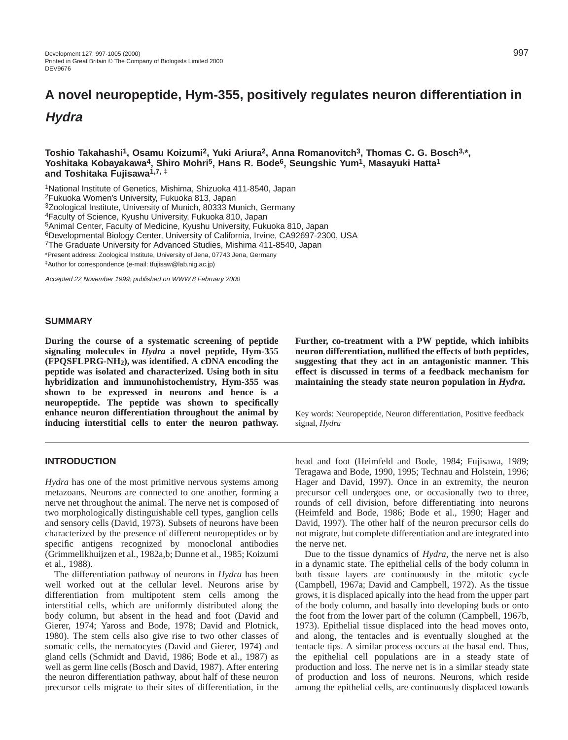# **A novel neuropeptide, Hym-355, positively regulates neuron differentiation in Hydra**

**Toshio Takahashi1, Osamu Koizumi2, Yuki Ariura2, Anna Romanovitch3, Thomas C. G. Bosch3,\*, Yoshitaka Kobayakawa4, Shiro Mohri5, Hans R. Bode6, Seungshic Yum1, Masayuki Hatta1 and Toshitaka Fujisawa1,7, ‡**

1National Institute of Genetics, Mishima, Shizuoka 411-8540, Japan

2Fukuoka Women's University, Fukuoka 813, Japan

3Zoological Institute, University of Munich, 80333 Munich, Germany

4Faculty of Science, Kyushu University, Fukuoka 810, Japan

5Animal Center, Faculty of Medicine, Kyushu University, Fukuoka 810, Japan

6Developmental Biology Center, University of California, Irvine, CA92697-2300, USA

<sup>7</sup>The Graduate University for Advanced Studies, Mishima 411-8540, Japan

\*Present address: Zoological Institute, University of Jena, 07743 Jena, Germany

‡Author for correspondence (e-mail: tfujisaw@lab.nig.ac.jp)

Accepted 22 November 1999; published on WWW 8 February 2000

#### **SUMMARY**

**During the course of a systematic screening of peptide signaling molecules in** *Hydra* **a novel peptide, Hym-355 (FPQSFLPRG-NH2), was identified. A cDNA encoding the peptide was isolated and characterized. Using both in situ hybridization and immunohistochemistry, Hym-355 was shown to be expressed in neurons and hence is a neuropeptide. The peptide was shown to specifically enhance neuron differentiation throughout the animal by inducing interstitial cells to enter the neuron pathway.**

## **INTRODUCTION**

*Hydra* has one of the most primitive nervous systems among metazoans. Neurons are connected to one another, forming a nerve net throughout the animal. The nerve net is composed of two morphologically distinguishable cell types, ganglion cells and sensory cells (David, 1973). Subsets of neurons have been characterized by the presence of different neuropeptides or by specific antigens recognized by monoclonal antibodies (Grimmelikhuijzen et al., 1982a,b; Dunne et al., 1985; Koizumi et al., 1988).

The differentiation pathway of neurons in *Hydra* has been well worked out at the cellular level. Neurons arise by differentiation from multipotent stem cells among the interstitial cells, which are uniformly distributed along the body column, but absent in the head and foot (David and Gierer, 1974; Yaross and Bode, 1978; David and Plotnick, 1980). The stem cells also give rise to two other classes of somatic cells, the nematocytes (David and Gierer, 1974) and gland cells (Schmidt and David, 1986; Bode et al., 1987) as well as germ line cells (Bosch and David, 1987). After entering the neuron differentiation pathway, about half of these neuron precursor cells migrate to their sites of differentiation, in the

**Further, co-treatment with a PW peptide, which inhibits neuron differentiation, nullified the effects of both peptides, suggesting that they act in an antagonistic manner. This effect is discussed in terms of a feedback mechanism for maintaining the steady state neuron population in** *Hydra***.**

Key words: Neuropeptide, Neuron differentiation, Positive feedback signal, *Hydra*

head and foot (Heimfeld and Bode, 1984; Fujisawa, 1989; Teragawa and Bode, 1990, 1995; Technau and Holstein, 1996; Hager and David, 1997). Once in an extremity, the neuron precursor cell undergoes one, or occasionally two to three, rounds of cell division, before differentiating into neurons (Heimfeld and Bode, 1986; Bode et al., 1990; Hager and David, 1997). The other half of the neuron precursor cells do not migrate, but complete differentiation and are integrated into the nerve net.

Due to the tissue dynamics of *Hydra*, the nerve net is also in a dynamic state. The epithelial cells of the body column in both tissue layers are continuously in the mitotic cycle (Campbell, 1967a; David and Campbell, 1972). As the tissue grows, it is displaced apically into the head from the upper part of the body column, and basally into developing buds or onto the foot from the lower part of the column (Campbell, 1967b, 1973). Epithelial tissue displaced into the head moves onto, and along, the tentacles and is eventually sloughed at the tentacle tips. A similar process occurs at the basal end. Thus, the epithelial cell populations are in a steady state of production and loss. The nerve net is in a similar steady state of production and loss of neurons. Neurons, which reside among the epithelial cells, are continuously displaced towards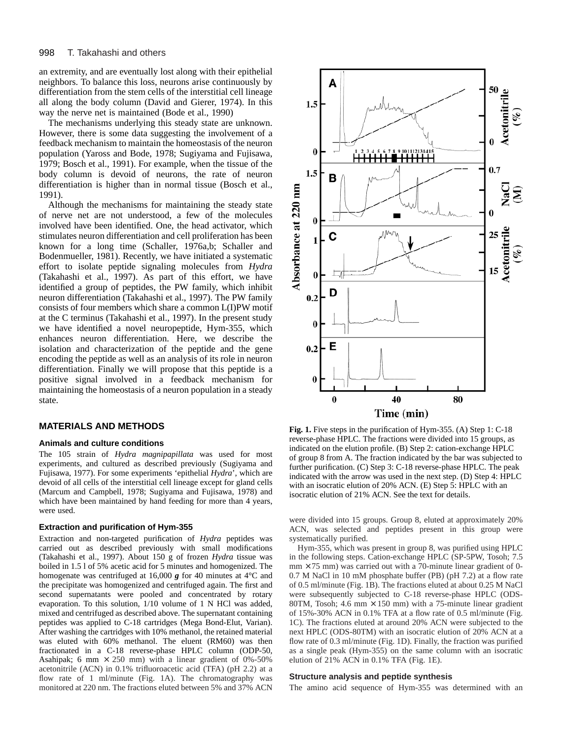an extremity, and are eventually lost along with their epithelial neighbors. To balance this loss, neurons arise continuously by differentiation from the stem cells of the interstitial cell lineage all along the body column (David and Gierer, 1974). In this way the nerve net is maintained (Bode et al., 1990)

The mechanisms underlying this steady state are unknown. However, there is some data suggesting the involvement of a feedback mechanism to maintain the homeostasis of the neuron population (Yaross and Bode, 1978; Sugiyama and Fujisawa, 1979; Bosch et al., 1991). For example, when the tissue of the body column is devoid of neurons, the rate of neuron differentiation is higher than in normal tissue (Bosch et al., 1991).

Although the mechanisms for maintaining the steady state of nerve net are not understood, a few of the molecules involved have been identified. One, the head activator, which stimulates neuron differentiation and cell proliferation has been known for a long time (Schaller, 1976a,b; Schaller and Bodenmueller, 1981). Recently, we have initiated a systematic effort to isolate peptide signaling molecules from *Hydra* (Takahashi et al., 1997). As part of this effort, we have identified a group of peptides, the PW family, which inhibit neuron differentiation (Takahashi et al., 1997). The PW family consists of four members which share a common L(I)PW motif at the C terminus (Takahashi et al., 1997). In the present study we have identified a novel neuropeptide, Hym-355, which enhances neuron differentiation. Here, we describe the isolation and characterization of the peptide and the gene encoding the peptide as well as an analysis of its role in neuron differentiation. Finally we will propose that this peptide is a positive signal involved in a feedback mechanism for maintaining the homeostasis of a neuron population in a steady state.

# **MATERIALS AND METHODS**

#### **Animals and culture conditions**

The 105 strain of *Hydra magnipapillata* was used for most experiments, and cultured as described previously (Sugiyama and Fujisawa, 1977). For some experiments 'epithelial *Hydra*', which are devoid of all cells of the interstitial cell lineage except for gland cells (Marcum and Campbell, 1978; Sugiyama and Fujisawa, 1978) and which have been maintained by hand feeding for more than 4 years, were used.

#### **Extraction and purification of Hym-355**

Extraction and non-targeted purification of *Hydra* peptides was carried out as described previously with small modifications (Takahashi et al., 1997). About 150 g of frozen *Hydra* tissue was boiled in 1.5 l of 5% acetic acid for 5 minutes and homogenized. The homogenate was centrifuged at 16,000 *g* for 40 minutes at 4°C and the precipitate was homogenized and centrifuged again. The first and second supernatants were pooled and concentrated by rotary evaporation. To this solution, 1/10 volume of 1 N HCl was added, mixed and centrifuged as described above. The supernatant containing peptides was applied to C-18 cartridges (Mega Bond-Elut, Varian). After washing the cartridges with 10% methanol, the retained material was eluted with 60% methanol. The eluent (RM60) was then fractionated in a C-18 reverse-phase HPLC column (ODP-50, Asahipak; 6 mm  $\times$  250 mm) with a linear gradient of 0%-50% acetonitrile (ACN) in 0.1% trifluoroacetic acid (TFA) (pH 2.2) at a flow rate of 1 ml/minute (Fig. 1A). The chromatography was monitored at 220 nm. The fractions eluted between 5% and 37% ACN



**Fig. 1.** Five steps in the purification of Hym-355. (A) Step 1: C-18 reverse-phase HPLC. The fractions were divided into 15 groups, as indicated on the elution profile. (B) Step 2: cation-exchange HPLC of group 8 from A. The fraction indicated by the bar was subjected to further purification. (C) Step 3: C-18 reverse-phase HPLC. The peak indicated with the arrow was used in the next step. (D) Step 4: HPLC with an isocratic elution of 20% ACN. (E) Step 5: HPLC with an isocratic elution of 21% ACN. See the text for details.

were divided into 15 groups. Group 8, eluted at approximately 20% ACN, was selected and peptides present in this group were systematically purified.

Hym-355, which was present in group 8, was purified using HPLC in the following steps. Cation-exchange HPLC (SP-5PW, Tosoh; 7.5  $mm \times 75$  mm) was carried out with a 70-minute linear gradient of 0-0.7 M NaCl in 10 mM phosphate buffer (PB) (pH 7.2) at a flow rate of 0.5 ml/minute (Fig. 1B). The fractions eluted at about 0.25 M NaCl were subsequently subjected to C-18 reverse-phase HPLC (ODS-80TM, Tosoh; 4.6 mm  $\times$  150 mm) with a 75-minute linear gradient of 15%-30% ACN in 0.1% TFA at a flow rate of 0.5 ml/minute (Fig. 1C). The fractions eluted at around 20% ACN were subjected to the next HPLC (ODS-80TM) with an isocratic elution of 20% ACN at a flow rate of 0.3 ml/minute (Fig. 1D). Finally, the fraction was purified as a single peak (Hym-355) on the same column with an isocratic elution of 21% ACN in 0.1% TFA (Fig. 1E).

## **Structure analysis and peptide synthesis**

The amino acid sequence of Hym-355 was determined with an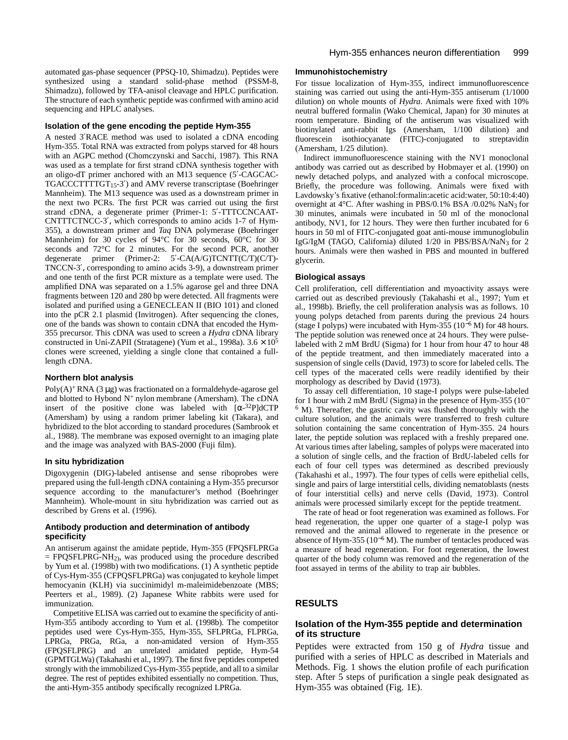automated gas-phase sequencer (PPSQ-10, Shimadzu). Peptides were synthesized using a standard solid-phase method (PSSM-8, Shimadzu), followed by TFA-anisol cleavage and HPLC purification. The structure of each synthetic peptide was confirmed with amino acid sequencing and HPLC analyses.

#### **Isolation of the gene encoding the peptide Hym-355**

A nested 3′RACE method was used to isolated a cDNA encoding Hym-355. Total RNA was extracted from polyps starved for 48 hours with an AGPC method (Chomczynski and Sacchi, 1987). This RNA was used as a template for first strand cDNA synthesis together with an oligo-dT primer anchored with an M13 sequence (5′-CAGCAC-TGACCCTTTTGT15-3′) and AMV reverse transcriptase (Boehringer Mannheim). The M13 sequence was used as a downstream primer in the next two PCRs. The first PCR was carried out using the first strand cDNA, a degenerate primer (Primer-1: 5′-TTTCCNCAAT-CNTTTCTNCC-3′, which corresponds to amino acids 1-7 of Hym-355), a downstream primer and *Taq* DNA polymerase (Boehringer Mannheim) for 30 cycles of 94°C for 30 seconds, 60°C for 30 seconds and 72°C for 2 minutes. For the second PCR, another degenerate primer (Primer-2:  $5'$ -CA(A/G)TCNTT(C/T)(C/T)-TNCCN-3′, corresponding to amino acids 3-9), a downstream primer and one tenth of the first PCR mixture as a template were used. The amplified DNA was separated on a 1.5% agarose gel and three DNA fragments between 120 and 280 bp were detected. All fragments were isolated and purified using a GENECLEAN II (BIO 101) and cloned into the pCR 2.1 plasmid (Invitrogen). After sequencing the clones, one of the bands was shown to contain cDNA that encoded the Hym-355 precursor. This cDNA was used to screen a *Hydra* cDNA library constructed in Uni-ZAPII (Stratagene) (Yum et al., 1998a).  $3.6 \times 10^5$ clones were screened, yielding a single clone that contained a fulllength cDNA.

#### **Northern blot analysis**

Poly $(A)$ <sup>+</sup> RNA (3 µg) was fractionated on a formaldehyde-agarose gel and blotted to Hybond  $N^+$  nylon membrane (Amersham). The cDNA insert of the positive clone was labeled with  $[\alpha^{-32}P]dCTP$ (Amersham) by using a random primer labeling kit (Takara), and hybridized to the blot according to standard procedures (Sambrook et al., 1988). The membrane was exposed overnight to an imaging plate and the image was analyzed with BAS-2000 (Fuji film).

#### **In situ hybridization**

Digoxygenin (DIG)-labeled antisense and sense riboprobes were prepared using the full-length cDNA containing a Hym-355 precursor sequence according to the manufacturer's method (Boehringer Mannheim). Whole-mount in situ hybridization was carried out as described by Grens et al. (1996).

## **Antibody production and determination of antibody specificity**

An antiserum against the amidate peptide, Hym-355 (FPQSFLPRGa  $=$  FPQSFLPRG-NH<sub>2</sub>), was produced using the procedure described by Yum et al. (1998b) with two modifications. (1) A synthetic peptide of Cys-Hym-355 (CFPQSFLPRGa) was conjugated to keyhole limpet hemocyanin (KLH) via succinimidyl m-maleimidebenzoate (MBS; Peerters et al., 1989). (2) Japanese White rabbits were used for immunization.

Competitive ELISA was carried out to examine the specificity of anti-Hym-355 antibody according to Yum et al. (1998b). The competitor peptides used were Cys-Hym-355, Hym-355, SFLPRGa, FLPRGa, LPRGa, PRGa, RGa, a non-amidated version of Hym-355 (FPQSFLPRG) and an unrelated amidated peptide, Hym-54 (GPMTGLWa) (Takahashi et al., 1997). The first five peptides competed strongly with the immobilized Cys-Hym-355 peptide, and all to a similar degree. The rest of peptides exhibited essentially no competition. Thus, the anti-Hym-355 antibody specifically recognized LPRGa.

## **Immunohistochemistry**

For tissue localization of Hym-355, indirect immunofluorescence staining was carried out using the anti-Hym-355 antiserum (1/1000 dilution) on whole mounts of *Hydra*. Animals were fixed with 10% neutral buffered formalin (Wako Chemical, Japan) for 30 minutes at room temperature. Binding of the antiserum was visualized with biotinylated anti-rabbit Igs (Amersham, 1/100 dilution) and fluorescein isothiocyanate (FITC)-conjugated to streptavidin (Amersham, 1/25 dilution).

Indirect immunofluorescence staining with the NV1 monoclonal antibody was carried out as described by Hobmayer et al. (1990) on newly detached polyps, and analyzed with a confocal microscope. Briefly, the procedure was following. Animals were fixed with Lavdowsky's fixative (ethanol:formalin:acetic acid:water, 50:10:4:40) overnight at 4°C. After washing in PBS/0.1% BSA /0.02% NaN3 for 30 minutes, animals were incubated in 50 ml of the monoclonal antibody, NV1, for 12 hours. They were then further incubated for 6 hours in 50 ml of FITC-conjugated goat anti-mouse immunoglobulin IgG/IgM (TAGO, California) diluted 1/20 in PBS/BSA/NaN3 for 2 hours. Animals were then washed in PBS and mounted in buffered glycerin.

#### **Biological assays**

Cell proliferation, cell differentiation and myoactivity assays were carried out as described previously (Takahashi et al., 1997; Yum et al., 1998b). Briefly, the cell proliferation analysis was as follows. 10 young polyps detached from parents during the previous 24 hours (stage I polyps) were incubated with Hym-355 ( $10^{-6}$  M) for 48 hours. The peptide solution was renewed once at 24 hours. They were pulselabeled with 2 mM BrdU (Sigma) for 1 hour from hour 47 to hour 48 of the peptide treatment, and then immediately macerated into a suspension of single cells (David, 1973) to score for labeled cells. The cell types of the macerated cells were readily identified by their morphology as described by David (1973).

To assay cell differentiation, 10 stage-I polyps were pulse-labeled for 1 hour with 2 mM BrdU (Sigma) in the presence of Hym-355 (10<sup>−</sup>  $6$  M). Thereafter, the gastric cavity was flushed thoroughly with the culture solution, and the animals were transferred to fresh culture solution containing the same concentration of Hym-355. 24 hours later, the peptide solution was replaced with a freshly prepared one. At various times after labeling, samples of polyps were macerated into a solution of single cells, and the fraction of BrdU-labeled cells for each of four cell types was determined as described previously (Takahashi et al., 1997). The four types of cells were epithelial cells, single and pairs of large interstitial cells, dividing nematoblasts (nests of four interstitial cells) and nerve cells (David, 1973). Control animals were processed similarly except for the peptide treatment.

The rate of head or foot regeneration was examined as follows. For head regeneration, the upper one quarter of a stage-I polyp was removed and the animal allowed to regenerate in the presence or absence of Hym-355 (10−<sup>6</sup> M). The number of tentacles produced was a measure of head regeneration. For foot regeneration, the lowest quarter of the body column was removed and the regeneration of the foot assayed in terms of the ability to trap air bubbles.

# **RESULTS**

# **Isolation of the Hym-355 peptide and determination of its structure**

Peptides were extracted from 150 g of *Hydra* tissue and purified with a series of HPLC as described in Materials and Methods. Fig. 1 shows the elution profile of each purification step. After 5 steps of purification a single peak designated as Hym-355 was obtained (Fig. 1E).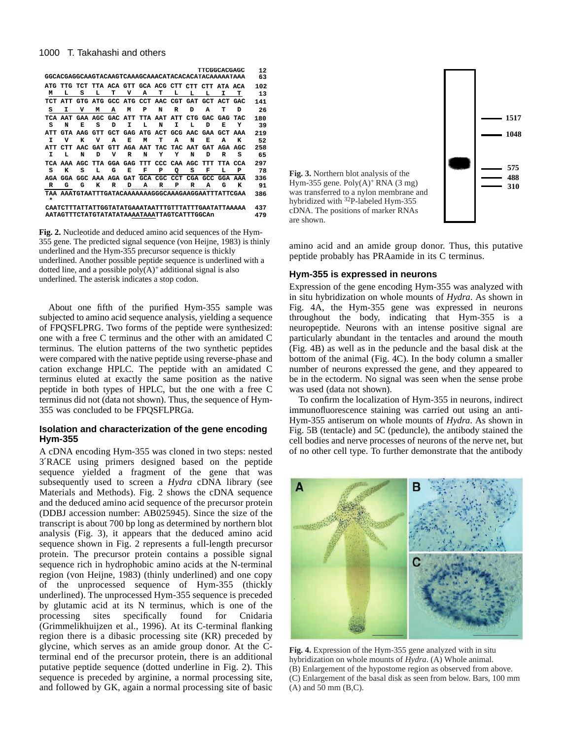## 1000 T. Takahashi and others

|         |            |                                                      |             |            |                         |         |             |             |            |            | <b>TTCGGCACGAGC</b>                         |            | 12  |
|---------|------------|------------------------------------------------------|-------------|------------|-------------------------|---------|-------------|-------------|------------|------------|---------------------------------------------|------------|-----|
|         |            | GGCACGAGGCAAGTACAAGTCAAAGCAAACATACACACATACAAAAAATAAA |             |            |                         |         |             |             |            |            |                                             |            | 63  |
| ATG.    | ጥጥር፥       |                                                      |             |            |                         |         |             |             |            |            | TCT TTA ACA GTT GCA ACG CTT CTT CTT ATA ACA |            | 102 |
| м       | L          | s                                                    | L           | т          | v                       | А       | т           | L           | L          | L          | I                                           | т          | 13  |
|         | ATT        | GTG                                                  | ATG         |            | GCC ATG                 | CCT     | AAC         | CGT         | GAT        | GCT        | ACT                                         | GAC        | 141 |
| s       | I          | v                                                    | М           | А          | м                       | P       | N           | R           | D          | А          | т                                           | D          | 26  |
| TCA     | AAT        |                                                      | GAA AGC GAC |            | ATT                     |         | TTA AAT ATT |             | <b>CTG</b> | GAC        | GAG                                         | <b>TAC</b> | 180 |
| s       | N          | Е                                                    | s           | D          | I                       | L       | N           | I           | L          | D          | Е                                           | Y          | 39  |
|         | <b>CTA</b> | AAG                                                  | <b>GTT</b>  | <b>GCT</b> | GAG                     | ATG     | ACT         | GCG         | AAC        | GAA        | <b>GCT</b>                                  | AAA        | 219 |
| т       | v          | ĸ                                                    | v           | А          | Е                       | м       | т           | A           | N          | E.         | A                                           | к          | 52  |
|         | <b>CTT</b> | አል ጦ                                                 | <b>GAT</b>  | <b>GTT</b> |                         | AGA AAT |             | TAC TAC     | AAT        | <b>GAT</b> | AGA                                         | AGC        | 258 |
| т       | L          | N                                                    | D           | v          | R                       | N       | Y           | Y           | N          | ת          | R                                           | s          | 65  |
| TCA     | AAA        | AGC                                                  | TTA         |            | GGA GAG                 | ጥጥጥ     |             | CCC CAA AGC |            | ጥጥጥ        | TTA                                         | CCA        | 297 |
| s       | к          | s                                                    | т.          | G          | Е                       | F       | P           | о           | s          | F          | L                                           | P          | 78  |
|         | GGA        | GGC                                                  |             |            | AAA AGA GAT GCA CGC CCT |         |             |             | <b>CGA</b> | GCC        |                                             | GGA AAA    | 336 |
| R       | G          | G                                                    | к           | R          | D                       | А       | R           | P           | R          | А          | G                                           | ĸ          | 91  |
| $\star$ |            | TAA AAATGTAATTTGATACAAAAAAGGGCAAAGAAGGAATTTATTCGAA   |             |            |                         |         |             |             |            |            |                                             |            | 386 |
|         |            | CAATCTTTATTATTGGTATATGAAATAATTTGTTTATTTGAATATTAAAAA  |             |            |                         |         |             |             |            |            |                                             |            | 437 |

**CAATCTTTATTATTGGTATATGAAATAATTTGTTTATTTGAATATTAAAAA AATAGTTTCTATGTATATATAAAATAAATTAGTCATTTGGCAn 479**

**Fig. 2.** Nucleotide and deduced amino acid sequences of the Hym-355 gene. The predicted signal sequence (von Heijne, 1983) is thinly underlined and the Hym-355 precursor sequence is thickly underlined. Another possible peptide sequence is underlined with a dotted line, and a possible  $poly(A)^+$  additional signal is also underlined. The asterisk indicates a stop codon.

About one fifth of the purified Hym-355 sample was subjected to amino acid sequence analysis, yielding a sequence of FPQSFLPRG. Two forms of the peptide were synthesized: one with a free C terminus and the other with an amidated C terminus. The elution patterns of the two synthetic peptides were compared with the native peptide using reverse-phase and cation exchange HPLC. The peptide with an amidated C terminus eluted at exactly the same position as the native peptide in both types of HPLC, but the one with a free C terminus did not (data not shown). Thus, the sequence of Hym-355 was concluded to be FPQSFLPRGa.

# **Isolation and characterization of the gene encoding Hym-355**

A cDNA encoding Hym-355 was cloned in two steps: nested 3′RACE using primers designed based on the peptide sequence yielded a fragment of the gene that was subsequently used to screen a *Hydra* cDNA library (see Materials and Methods). Fig. 2 shows the cDNA sequence and the deduced amino acid sequence of the precursor protein (DDBJ accession number: AB025945). Since the size of the transcript is about 700 bp long as determined by northern blot analysis (Fig. 3), it appears that the deduced amino acid sequence shown in Fig. 2 represents a full-length precursor protein. The precursor protein contains a possible signal sequence rich in hydrophobic amino acids at the N-terminal region (von Heijne, 1983) (thinly underlined) and one copy of the unprocessed sequence of Hym-355 (thickly underlined). The unprocessed Hym-355 sequence is preceded by glutamic acid at its N terminus, which is one of the processing sites specifically found for Cnidaria (Grimmelikhuijzen et al., 1996). At its C-terminal flanking region there is a dibasic processing site (KR) preceded by glycine, which serves as an amide group donor. At the Cterminal end of the precursor protein, there is an additional putative peptide sequence (dotted underline in Fig. 2). This sequence is preceded by arginine, a normal processing site, and followed by GK, again a normal processing site of basic



amino acid and an amide group donor. Thus, this putative peptide probably has PRAamide in its C terminus.

## **Hym-355 is expressed in neurons**

Expression of the gene encoding Hym-355 was analyzed with in situ hybridization on whole mounts of *Hydra*. As shown in Fig. 4A, the Hym-355 gene was expressed in neurons throughout the body, indicating that Hym-355 is a neuropeptide. Neurons with an intense positive signal are particularly abundant in the tentacles and around the mouth (Fig. 4B) as well as in the peduncle and the basal disk at the bottom of the animal (Fig. 4C). In the body column a smaller number of neurons expressed the gene, and they appeared to be in the ectoderm. No signal was seen when the sense probe was used (data not shown).

To confirm the localization of Hym-355 in neurons, indirect immunofluorescence staining was carried out using an anti-Hym-355 antiserum on whole mounts of *Hydra*. As shown in Fig. 5B (tentacle) and 5C (peduncle), the antibody stained the cell bodies and nerve processes of neurons of the nerve net, but of no other cell type. To further demonstrate that the antibody



**Fig. 4.** Expression of the Hym-355 gene analyzed with in situ hybridization on whole mounts of *Hydra*. (A) Whole animal. (B) Enlargement of the hypostome region as observed from above. (C) Enlargement of the basal disk as seen from below. Bars, 100 mm (A) and 50 mm (B,C).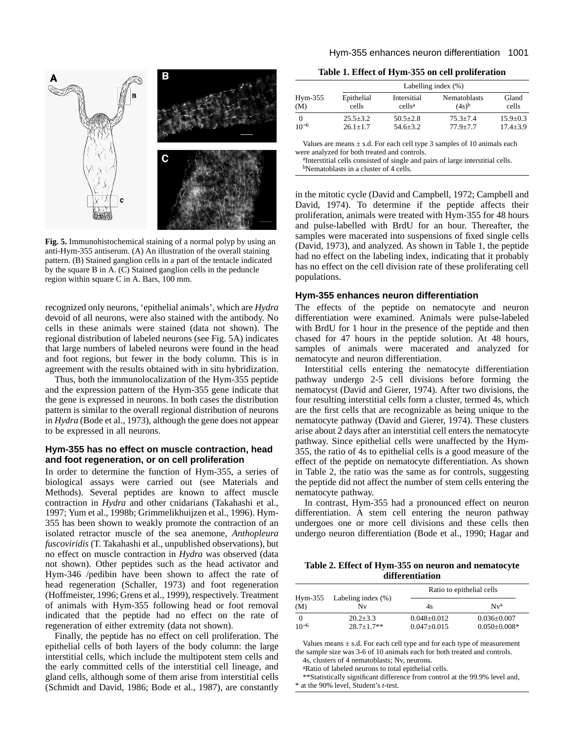

**Fig. 5.** Immunohistochemical staining of a normal polyp by using an anti-Hym-355 antiserum. (A) An illustration of the overall staining pattern. (B) Stained ganglion cells in a part of the tentacle indicated by the square B in A. (C) Stained ganglion cells in the peduncle region within square C in A. Bars, 100 mm.

recognized only neurons, 'epithelial animals', which are *Hydra* devoid of all neurons, were also stained with the antibody. No cells in these animals were stained (data not shown). The regional distribution of labeled neurons (see Fig. 5A) indicates that large numbers of labeled neurons were found in the head and foot regions, but fewer in the body column. This is in agreement with the results obtained with in situ hybridization.

Thus, both the immunolocalization of the Hym-355 peptide and the expression pattern of the Hym-355 gene indicate that the gene is expressed in neurons. In both cases the distribution pattern is similar to the overall regional distribution of neurons in *Hydra* (Bode et al., 1973), although the gene does not appear to be expressed in all neurons.

# **Hym-355 has no effect on muscle contraction, head and foot regeneration, or on cell proliferation**

In order to determine the function of Hym-355, a series of biological assays were carried out (see Materials and Methods). Several peptides are known to affect muscle contraction in *Hydra* and other cnidarians (Takahashi et al., 1997; Yum et al., 1998b; Grimmelikhuijzen et al., 1996). Hym-355 has been shown to weakly promote the contraction of an isolated retractor muscle of the sea anemone, *Anthopleura fuscoviridis* (T. Takahashi et al., unpublished observations), but no effect on muscle contraction in *Hydra* was observed (data not shown). Other peptides such as the head activator and Hym-346 /pedibin have been shown to affect the rate of head regeneration (Schaller, 1973) and foot regeneration (Hoffmeister, 1996; Grens et al., 1999), respectively. Treatment of animals with Hym-355 following head or foot removal indicated that the peptide had no effect on the rate of regeneration of either extremity (data not shown).

Finally, the peptide has no effect on cell proliferation. The epithelial cells of both layers of the body column: the large interstitial cells, which include the multipotent stem cells and the early committed cells of the interstitial cell lineage, and gland cells, although some of them arise from interstitial cells (Schmidt and David, 1986; Bode et al., 1987), are constantly

**Table 1. Effect of Hym-355 on cell proliferation**

| Epithelial<br>cells | Intersitial<br>cells <sup>a</sup> | Nematoblasts<br>$(4s)^b$ | Gland<br>cells                                                          |
|---------------------|-----------------------------------|--------------------------|-------------------------------------------------------------------------|
| $25.5 + 3.2$        | $50.5 + 2.8$                      | $75.3 + 7.4$             | $15.9 + 0.3$<br>$17.4 + 3.9$                                            |
|                     |                                   |                          | Labelling index $(\% )$<br>$54.6 + 3.2$<br>$26.1 + 1.7$<br>$77.9 + 7.7$ |

Values are means  $\pm$  s.d. For each cell type 3 samples of 10 animals each were analyzed for both treated and controls.

<sup>a</sup>Interstitial cells consisted of single and pairs of large interstitial cells. <sup>b</sup>Nematoblasts in a cluster of 4 cells.

in the mitotic cycle (David and Campbell, 1972; Campbell and David, 1974). To determine if the peptide affects their proliferation, animals were treated with Hym-355 for 48 hours and pulse-labelled with BrdU for an hour. Thereafter, the samples were macerated into suspensions of fixed single cells (David, 1973), and analyzed. As shown in Table 1, the peptide had no effect on the labeling index, indicating that it probably has no effect on the cell division rate of these proliferating cell populations.

## **Hym-355 enhances neuron differentiation**

The effects of the peptide on nematocyte and neuron differentiation were examined. Animals were pulse-labeled with BrdU for 1 hour in the presence of the peptide and then chased for 47 hours in the peptide solution. At 48 hours, samples of animals were macerated and analyzed for nematocyte and neuron differentiation.

Interstitial cells entering the nematocyte differentiation pathway undergo 2-5 cell divisions before forming the nematocyst (David and Gierer, 1974). After two divisions, the four resulting interstitial cells form a cluster, termed 4s, which are the first cells that are recognizable as being unique to the nematocyte pathway (David and Gierer, 1974). These clusters arise about 2 days after an interstitial cell enters the nematocyte pathway. Since epithelial cells were unaffected by the Hym-355, the ratio of 4s to epithelial cells is a good measure of the effect of the peptide on nematocyte differentiation. As shown in Table 2, the ratio was the same as for controls, suggesting the peptide did not affect the number of stem cells entering the nematocyte pathway.

In contrast, Hym-355 had a pronounced effect on neuron differentiation. A stem cell entering the neuron pathway undergoes one or more cell divisions and these cells then undergo neuron differentiation (Bode et al., 1990; Hagar and

**Table 2. Effect of Hym-355 on neuron and nematocyte differentiation**

|           |                                       |                   | Ratio to epithelial cells |
|-----------|---------------------------------------|-------------------|---------------------------|
| (M)       | $Hym-355$ Labeling index $(\%)$<br>Nv | 4s                | Nva                       |
| 0         | $20.2 + 3.3$                          | $0.048 + 0.012$   | $0.036 + 0.007$           |
| $10^{-6}$ | $28.7 + 1.7**$                        | $0.047 \pm 0.015$ | $0.050 \pm 0.008*$        |

Values means  $\pm$  s.d. For each cell type and for each type of measurement the sample size was 3-6 of 10 animals each for both treated and controls.

4s, clusters of 4 nematoblasts; Nv, neurons. aRatio of labeled neurons to total epithelial cells.

\*\*Statistically significant difference from control at the 99.9% level and,

\* at the 90% level, Student's *t*-test.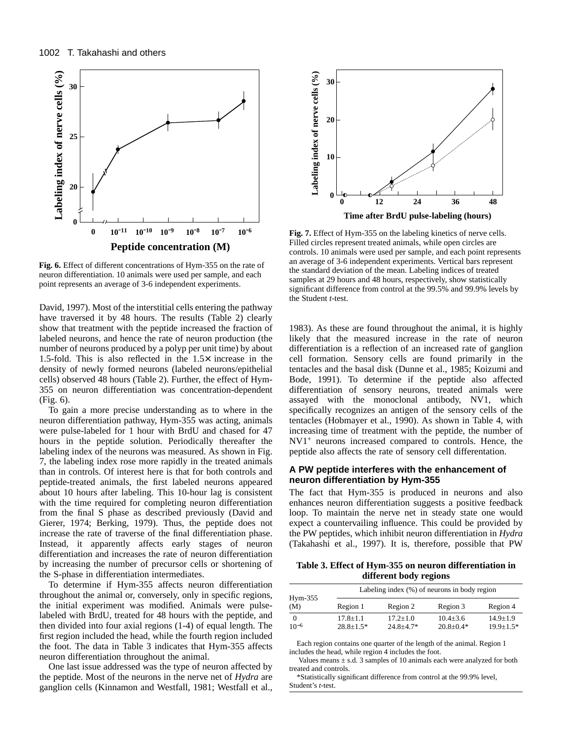

**Fig. 6.** Effect of different concentrations of Hym-355 on the rate of neuron differentiation. 10 animals were used per sample, and each point represents an average of 3-6 independent experiments.

David, 1997). Most of the interstitial cells entering the pathway have traversed it by 48 hours. The results (Table 2) clearly show that treatment with the peptide increased the fraction of labeled neurons, and hence the rate of neuron production (the number of neurons produced by a polyp per unit time) by about 1.5-fold. This is also reflected in the  $1.5\times$  increase in the density of newly formed neurons (labeled neurons/epithelial cells) observed 48 hours (Table 2). Further, the effect of Hym-355 on neuron differentiation was concentration-dependent (Fig. 6).

To gain a more precise understanding as to where in the neuron differentiation pathway, Hym-355 was acting, animals were pulse-labeled for 1 hour with BrdU and chased for 47 hours in the peptide solution. Periodically thereafter the labeling index of the neurons was measured. As shown in Fig. 7, the labeling index rose more rapidly in the treated animals than in controls. Of interest here is that for both controls and peptide-treated animals, the first labeled neurons appeared about 10 hours after labeling. This 10-hour lag is consistent with the time required for completing neuron differentiation from the final S phase as described previously (David and Gierer, 1974; Berking, 1979). Thus, the peptide does not increase the rate of traverse of the final differentiation phase. Instead, it apparently affects early stages of neuron differentiation and increases the rate of neuron differentiation by increasing the number of precursor cells or shortening of the S-phase in differentiation intermediates.

To determine if Hym-355 affects neuron differentiation throughout the animal or, conversely, only in specific regions, the initial experiment was modified. Animals were pulselabeled with BrdU, treated for 48 hours with the peptide, and then divided into four axial regions (1-4) of equal length. The first region included the head, while the fourth region included the foot. The data in Table 3 indicates that Hym-355 affects neuron differentiation throughout the animal.

One last issue addressed was the type of neuron affected by the peptide. Most of the neurons in the nerve net of *Hydra* are ganglion cells (Kinnamon and Westfall, 1981; Westfall et al.,



**Fig. 7.** Effect of Hym-355 on the labeling kinetics of nerve cells. Filled circles represent treated animals, while open circles are controls. 10 animals were used per sample, and each point represents an average of 3-6 independent experiments. Vertical bars represent the standard deviation of the mean. Labeling indices of treated samples at 29 hours and 48 hours, respectively, show statistically significant difference from control at the 99.5% and 99.9% levels by the Student *t*-test.

1983). As these are found throughout the animal, it is highly likely that the measured increase in the rate of neuron differentiation is a reflection of an increased rate of ganglion cell formation. Sensory cells are found primarily in the tentacles and the basal disk (Dunne et al., 1985; Koizumi and Bode, 1991). To determine if the peptide also affected differentiation of sensory neurons, treated animals were assayed with the monoclonal antibody, NV1, which specifically recognizes an antigen of the sensory cells of the tentacles (Hobmayer et al., 1990). As shown in Table 4, with increasing time of treatment with the peptide, the number of NV1<sup>+</sup> neurons increased compared to controls. Hence, the peptide also affects the rate of sensory cell differentation.

# **A PW peptide interferes with the enhancement of neuron differentiation by Hym-355**

The fact that Hym-355 is produced in neurons and also enhances neuron differentiation suggests a positive feedback loop. To maintain the nerve net in steady state one would expect a countervailing influence. This could be provided by the PW peptides, which inhibit neuron differentiation in *Hydra* (Takahashi et al., 1997). It is, therefore, possible that PW

**Table 3. Effect of Hym-355 on neuron differentiation in different body regions**

|                  |               |               | Labeling index $(\%)$ of neurons in body region |               |
|------------------|---------------|---------------|-------------------------------------------------|---------------|
| $Hym-355$<br>(M) | Region 1      | Region 2      | Region 3                                        | Region 4      |
| 0                | $17.8 + 1.1$  | $17.2 + 1.0$  | $10.4 + 3.6$                                    | $14.9 + 1.9$  |
| $10^{-6}$        | $28.8 + 1.5*$ | $24.8 + 4.7*$ | $20.8 + 0.4*$                                   | $19.9 + 1.5*$ |

Each region contains one quarter of the length of the animal. Region 1 includes the head, while region 4 includes the foot.

Values means  $\pm$  s.d. 3 samples of 10 animals each were analyzed for both treated and controls.

\*Statistically significant difference from control at the 99.9% level, Student's *t*-test.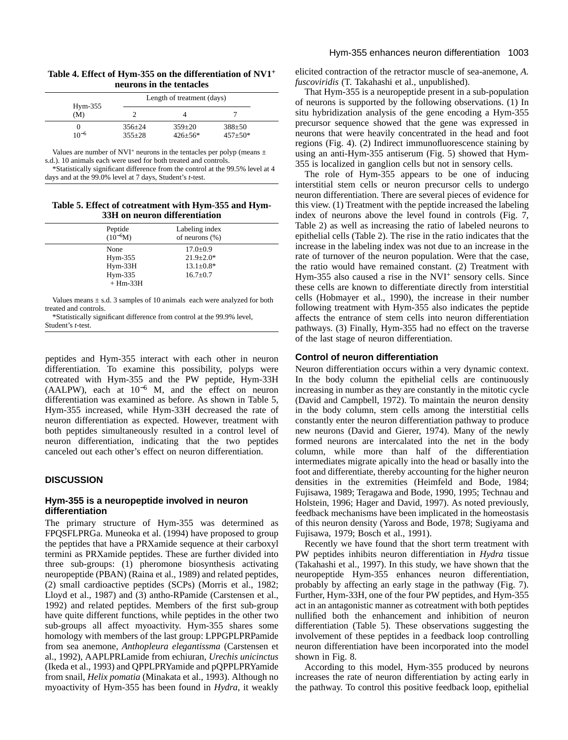| Table 4. Effect of Hym-355 on the differentiation of NV1 <sup>+</sup> |  |
|-----------------------------------------------------------------------|--|
| neurons in the tentacles                                              |  |

| $Hym-355$ |              | Length of treatment (days) |               |  |
|-----------|--------------|----------------------------|---------------|--|
| (M)       |              |                            |               |  |
|           | $356 + 24$   | $359 \pm 20$               | $388 + 50$    |  |
| $10^{-6}$ | $355 \pm 28$ | $426 + 56*$                | $457 \pm 50*$ |  |

Values are number of NVI<sup>+</sup> neurons in the tentacles per polyp (means  $\pm$ s.d.). 10 animals each were used for both treated and controls.

\*Statistically significant difference from the control at the 99.5% level at 4 days and at the 99.0% level at 7 days, Student's *t*-test.

**Table 5. Effect of cotreatment with Hym-355 and Hym-33H on neuron differentiation**

| Peptide                                                   | Labeling index                                                         |
|-----------------------------------------------------------|------------------------------------------------------------------------|
| $(10^{-6}M)$                                              | of neurons $(\%)$                                                      |
| None<br>$Hym-355$<br>$Hym-33H$<br>$Hym-335$<br>$+$ Hm-33H | $17.0 \pm 0.9$<br>$21.9 \pm 2.0*$<br>$13.1 \pm 0.8*$<br>$16.7 \pm 0.7$ |

Values means  $\pm$  s.d. 3 samples of 10 animals each were analyzed for both treated and controls.

\*Statistically significant difference from control at the 99.9% level, Student's *t*-test.

peptides and Hym-355 interact with each other in neuron differentiation. To examine this possibility, polyps were cotreated with Hym-355 and the PW peptide, Hym-33H (AALPW), each at 10−<sup>6</sup> M, and the effect on neuron differentiation was examined as before. As shown in Table 5, Hym-355 increased, while Hym-33H decreased the rate of neuron differentiation as expected. However, treatment with both peptides simultaneously resulted in a control level of neuron differentiation, indicating that the two peptides canceled out each other's effect on neuron differentiation.

# **DISCUSSION**

# **Hym-355 is a neuropeptide involved in neuron differentiation**

The primary structure of Hym-355 was determined as FPQSFLPRGa. Muneoka et al. (1994) have proposed to group the peptides that have a PRXamide sequence at their carboxyl termini as PRXamide peptides. These are further divided into three sub-groups: (1) pheromone biosynthesis activating neuropeptide (PBAN) (Raina et al., 1989) and related peptides, (2) small cardioactive peptides (SCPs) (Morris et al., 1982; Lloyd et al., 1987) and (3) antho-RPamide (Carstensen et al., 1992) and related peptides. Members of the first sub-group have quite different functions, while peptides in the other two sub-groups all affect myoactivity. Hym-355 shares some homology with members of the last group: LPPGPLPRPamide from sea anemone, *Anthopleura elegantissma* (Carstensen et al., 1992), AAPLPRLamide from echiuran, *Urechis unicinctus* (Ikeda et al., 1993) and QPPLPRYamide and pQPPLPRYamide from snail, *Helix pomatia* (Minakata et al., 1993). Although no myoactivity of Hym-355 has been found in *Hydra*, it weakly elicited contraction of the retractor muscle of sea-anemone, *A. fuscoviridis* (T. Takahashi et al., unpublished).

That Hym-355 is a neuropeptide present in a sub-population of neurons is supported by the following observations. (1) In situ hybridization analysis of the gene encoding a Hym-355 precursor sequence showed that the gene was expressed in neurons that were heavily concentrated in the head and foot regions (Fig. 4). (2) Indirect immunofluorescence staining by using an anti-Hym-355 antiserum (Fig. 5) showed that Hym-355 is localized in ganglion cells but not in sensory cells.

The role of Hym-355 appears to be one of inducing interstitial stem cells or neuron precursor cells to undergo neuron differentiation. There are several pieces of evidence for this view. (1) Treatment with the peptide increased the labeling index of neurons above the level found in controls (Fig. 7, Table 2) as well as increasing the ratio of labeled neurons to epithelial cells (Table 2). The rise in the ratio indicates that the increase in the labeling index was not due to an increase in the rate of turnover of the neuron population. Were that the case, the ratio would have remained constant. (2) Treatment with Hym-355 also caused a rise in the NVI+ sensory cells. Since these cells are known to differentiate directly from interstitial cells (Hobmayer et al., 1990), the increase in their number following treatment with Hym-355 also indicates the peptide affects the entrance of stem cells into neuron differentiation pathways. (3) Finally, Hym-355 had no effect on the traverse of the last stage of neuron differentiation.

## **Control of neuron differentiation**

Neuron differentiation occurs within a very dynamic context. In the body column the epithelial cells are continuously increasing in number as they are constantly in the mitotic cycle (David and Campbell, 1972). To maintain the neuron density in the body column, stem cells among the interstitial cells constantly enter the neuron differentiation pathway to produce new neurons (David and Gierer, 1974). Many of the newly formed neurons are intercalated into the net in the body column, while more than half of the differentiation intermediates migrate apically into the head or basally into the foot and differentiate, thereby accounting for the higher neuron densities in the extremities (Heimfeld and Bode, 1984; Fujisawa, 1989; Teragawa and Bode, 1990, 1995; Technau and Holstein, 1996; Hager and David, 1997). As noted previously, feedback mechanisms have been implicated in the homeostasis of this neuron density (Yaross and Bode, 1978; Sugiyama and Fujisawa, 1979; Bosch et al., 1991).

Recently we have found that the short term treatment with PW peptides inhibits neuron differentiation in *Hydra* tissue (Takahashi et al., 1997). In this study, we have shown that the neuropeptide Hym-355 enhances neuron differentiation, probably by affecting an early stage in the pathway (Fig. 7). Further, Hym-33H, one of the four PW peptides, and Hym-355 act in an antagonistic manner as cotreatment with both peptides nullified both the enhancement and inhibition of neuron differentiation (Table 5). These observations suggesting the involvement of these peptides in a feedback loop controlling neuron differentiation have been incorporated into the model shown in Fig. 8.

According to this model, Hym-355 produced by neurons increases the rate of neuron differentiation by acting early in the pathway. To control this positive feedback loop, epithelial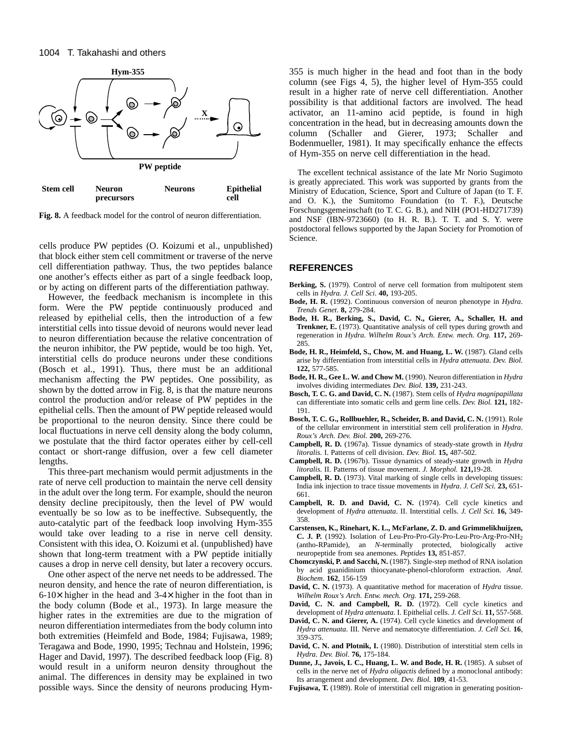

**Fig. 8.** A feedback model for the control of neuron differentiation.

cells produce PW peptides (O. Koizumi et al., unpublished) that block either stem cell commitment or traverse of the nerve cell differentiation pathway. Thus, the two peptides balance one another's effects either as part of a single feedback loop, or by acting on different parts of the differentiation pathway.

However, the feedback mechanism is incomplete in this form. Were the PW peptide continuously produced and released by epithelial cells, then the introduction of a few interstitial cells into tissue devoid of neurons would never lead to neuron differentiation because the relative concentration of the neuron inhibitor, the PW peptide, would be too high. Yet, interstitial cells do produce neurons under these conditions (Bosch et al., 1991). Thus, there must be an additional mechanism affecting the PW peptides. One possibility, as shown by the dotted arrow in Fig. 8, is that the mature neurons control the production and/or release of PW peptides in the epithelial cells. Then the amount of PW peptide released would be proportional to the neuron density. Since there could be local fluctuations in nerve cell density along the body column, we postulate that the third factor operates either by cell-cell contact or short-range diffusion, over a few cell diameter lengths.

This three-part mechanism would permit adjustments in the rate of nerve cell production to maintain the nerve cell density in the adult over the long term. For example, should the neuron density decline precipitously, then the level of PW would eventually be so low as to be ineffective. Subsequently, the auto-catalytic part of the feedback loop involving Hym-355 would take over leading to a rise in nerve cell density. Consistent with this idea, O. Koizumi et al. (unpublished) have shown that long-term treatment with a PW peptide initially causes a drop in nerve cell density, but later a recovery occurs.

One other aspect of the nerve net needs to be addressed. The neuron density, and hence the rate of neuron differentiation, is  $6-10\times$  higher in the head and  $3-4\times$  higher in the foot than in the body column (Bode et al., 1973). In large measure the higher rates in the extremities are due to the migration of neuron differentiation intermediates from the body column into both extremities (Heimfeld and Bode, 1984; Fujisawa, 1989; Teragawa and Bode, 1990, 1995; Technau and Holstein, 1996; Hager and David, 1997). The described feedback loop (Fig. 8) would result in a uniform neuron density throughout the animal. The differences in density may be explained in two possible ways. Since the density of neurons producing Hym355 is much higher in the head and foot than in the body column (see Figs 4, 5), the higher level of Hym-355 could result in a higher rate of nerve cell differentiation. Another possibility is that additional factors are involved. The head activator, an 11-amino acid peptide, is found in high concentration in the head, but in decreasing amounts down the column (Schaller and Gierer, 1973; Schaller and Bodenmueller, 1981). It may specifically enhance the effects of Hym-355 on nerve cell differentiation in the head.

The excellent technical assistance of the late Mr Norio Sugimoto is greatly appreciated. This work was supported by grants from the Ministry of Education, Science, Sport and Culture of Japan (to T. F. and O. K.), the Sumitomo Foundation (to T. F.), Deutsche Forschungsgemeinschaft (to T. C. G. B.), and NIH (PO1-HD271739) and NSF (IBN-9723660) (to H. R. B.). T. T. and S. Y. were postdoctoral fellows supported by the Japan Society for Promotion of Science.

## **REFERENCES**

- Berking, S. (1979). Control of nerve cell formation from multipotent stem cells in *Hydra. J. Cell Sci*. **40,** 193-205.
- **Bode, H. R.** (1992). Continuous conversion of neuron phenotype in *Hydra*. *Trends Genet*. **8,** 279-284.
- **Bode, H. R., Berking, S., David, C. N., Gierer, A., Schaller, H. and Trenkner, E.** (1973). Quantitative analysis of cell types during growth and regeneration in *Hydra*. *Wilhelm Roux's Arch. Entw. mech. Org.* **117,** 269- 285.
- Bode, H. R., Heimfeld, S., Chow, M. and Huang, L. W. (1987). Gland cells arise by differentiation from interstitial cells in *Hydra attenuata*. *Dev. Biol.* **122,** 577-585.
- **Bode, H. R., Gee L. W. and Chow M.** (1990). Neuron differentiation in *Hydra* involves dividing intermediates *Dev. Biol.* **139,** 231-243.
- **Bosch, T. C. G. and David, C. N.** (1987). Stem cells of *Hydra magnipapillata* can differentiate into somatic cells and germ line cells. *Dev. Biol.* **121,** 182- 191.
- **Bosch, T. C. G., Rollbuehler, R., Scheider, B. and David, C. N.** (1991). Role of the cellular environment in interstitial stem cell proliferation in *Hydra*. *Roux's Arch. Dev. Biol.* **200,** 269-276.
- **Campbell, R. D.** (1967a). Tissue dynamics of steady-state growth in *Hydra litoralis.* I. Patterns of cell division. *Dev. Biol.* **15,** 487-502.
- **Campbell, R. D.** (1967b). Tissue dynamics of steady-state growth in *Hydra litoralis.* II. Patterns of tissue movement. *J. Morphol.* **121,**19-28.
- **Campbell, R. D.** (1973). Vital marking of single cells in developing tissues: India ink injection to trace tissue movements in *Hydra*. *J. Cell Sci.* **23,** 651- 661.
- **Campbell, R. D. and David, C. N.** (1974). Cell cycle kinetics and development of *Hydra attenuata*. II. Interstitial cells. *J. Cell Sci.* **16,** 349- 358.
- **Carstensen, K., Rinehart, K. L., McFarlane, Z. D. and Grimmelikhuijzen, C. J. P.** (1992). Isolation of Leu-Pro-Pro-Gly-Pro-Leu-Pro-Arg-Pro-NH2 (antho-RPamide), an *N*-terminally protected, biologically active neuropeptide from sea anemones. *Peptides* **13,** 851-857.
- **Chomczynski, P. and Sacchi, N.** (1987). Single-step method of RNA isolation by acid guanidinium thiocyanate-phenol-chloroform extraction. *Anal. Biochem*. **162**, 156-159
- **David, C. N.** (1973). A quantitative method for maceration of *Hydra* tissue. *Wilhelm Roux's Arch. Entw. mech. Org.* **171,** 259-268.
- David, C. N. and Campbell, R. D. (1972). Cell cycle kinetics and development of *Hydra attenuata*. I. Epithelial cells. *J. Cell Sci.* **11,** 557-568.
- **David, C. N. and Gierer, A.** (1974). Cell cycle kinetics and development of *Hydra attenuata*. III. Nerve and nematocyte differentiation. *J. Cell Sci.* **16***,* 359-375.
- **David, C. N. and Plotnik, I.** (1980). Distribution of interstitial stem cells in *Hydra*. *Dev. Biol*. **76,** 175-184.
- **Dunne, J., Javois, L C., Huang, L. W. and Bode, H. R.** (1985). A subset of cells in the nerve net of *Hydra oligactis* defined by a monoclonal antibody: Its arrangement and development. *Dev. Biol*. **109***,* 41-53.
- **Fujisawa, T.** (1989). Role of interstitial cell migration in generating position-